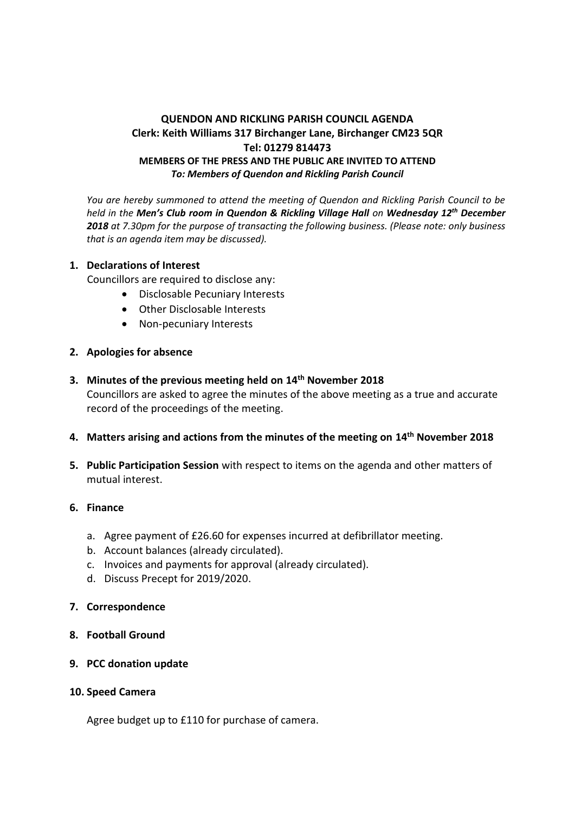# **QUENDON AND RICKLING PARISH COUNCIL AGENDA Clerk: Keith Williams 317 Birchanger Lane, Birchanger CM23 5QR Tel: 01279 814473 MEMBERS OF THE PRESS AND THE PUBLIC ARE INVITED TO ATTEND** *To: Members of Quendon and Rickling Parish Council*

*You are hereby summoned to attend the meeting of Quendon and Rickling Parish Council to be held in the Men's Club room in Quendon & Rickling Village Hall on Wednesday 12th December 2018 at 7.30pm for the purpose of transacting the following business. (Please note: only business that is an agenda item may be discussed).*

#### **1. Declarations of Interest**

Councillors are required to disclose any:

- Disclosable Pecuniary Interests
- Other Disclosable Interests
- Non-pecuniary Interests
- **2. Apologies for absence**
- **3. Minutes of the previous meeting held on 14 th November 2018** Councillors are asked to agree the minutes of the above meeting as a true and accurate record of the proceedings of the meeting.
- **4. Matters arising and actions from the minutes of the meeting on 14 th November 2018**
- **5. Public Participation Session** with respect to items on the agenda and other matters of mutual interest.

#### **6. Finance**

- a. Agree payment of £26.60 for expenses incurred at defibrillator meeting.
- b. Account balances (already circulated).
- c. Invoices and payments for approval (already circulated).
- d. Discuss Precept for 2019/2020.
- **7. Correspondence**
- **8. Football Ground**
- **9. PCC donation update**
- **10. Speed Camera**

Agree budget up to £110 for purchase of camera.